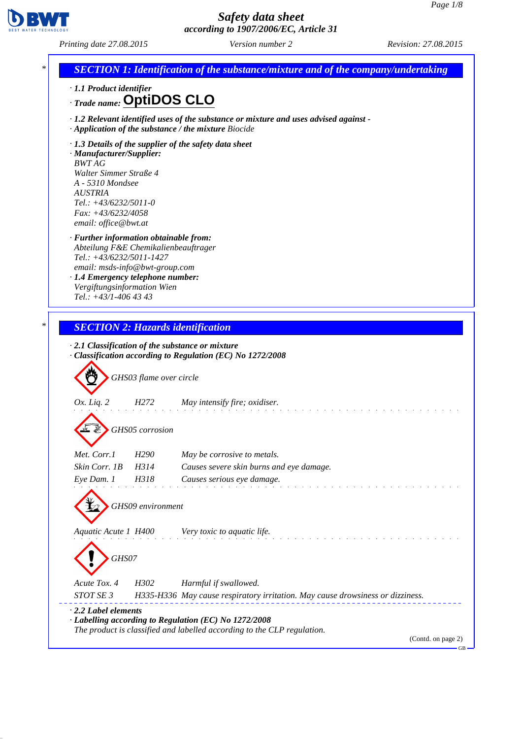

*Printing date 27.08.2015 Version number 2 Revision: 27.08.2015*

| <b>SECTION 1: Identification of the substance/mixture and of the company/undertaking</b>                                                                                                                                                    |                         |                                                                                                                                                     |
|---------------------------------------------------------------------------------------------------------------------------------------------------------------------------------------------------------------------------------------------|-------------------------|-----------------------------------------------------------------------------------------------------------------------------------------------------|
| · 1.1 Product identifier<br>Trade name: OptiDOS CLO                                                                                                                                                                                         |                         |                                                                                                                                                     |
|                                                                                                                                                                                                                                             |                         | $\cdot$ 1.2 Relevant identified uses of the substance or mixture and uses advised against -<br>· Application of the substance / the mixture Biocide |
| · Manufacturer/Supplier:<br><b>BWT AG</b><br>Walter Simmer Straße 4<br>A - 5310 Mondsee<br><b>AUSTRIA</b><br>$Tel.: +43/6232/5011-0$<br>Fax: +43/6232/4058<br>email: office@bwt.at                                                          |                         | $\cdot$ 1.3 Details of the supplier of the safety data sheet                                                                                        |
| · Further information obtainable from:<br>Abteilung F&E Chemikalienbeauftrager<br>Tel.: +43/6232/5011-1427<br>email: msds-info@bwt-group.com<br>· 1.4 Emergency telephone number:<br>Vergiftungsinformation Wien<br>Tel.: $+43/1-406$ 43 43 |                         |                                                                                                                                                     |
|                                                                                                                                                                                                                                             |                         |                                                                                                                                                     |
|                                                                                                                                                                                                                                             |                         |                                                                                                                                                     |
|                                                                                                                                                                                                                                             |                         | <b>SECTION 2: Hazards identification</b><br>$\cdot$ 2.1 Classification of the substance or mixture                                                  |
|                                                                                                                                                                                                                                             | GHS03 flame over circle | Classification according to Regulation (EC) No 1272/2008                                                                                            |
| Ox. Liq. 2                                                                                                                                                                                                                                  | H272                    | May intensify fire; oxidiser.                                                                                                                       |
|                                                                                                                                                                                                                                             | GHS05 corrosion         |                                                                                                                                                     |
| Met. Corr.1                                                                                                                                                                                                                                 | H <sub>290</sub>        | May be corrosive to metals.                                                                                                                         |
| Skin Corr. 1B                                                                                                                                                                                                                               | H314                    | Causes severe skin burns and eye damage.                                                                                                            |
| Eye Dam. 1                                                                                                                                                                                                                                  | H318                    | Causes serious eye damage.                                                                                                                          |
|                                                                                                                                                                                                                                             | GHS09 environment       |                                                                                                                                                     |
| Aquatic Acute 1 H400                                                                                                                                                                                                                        |                         | Very toxic to aquatic life.                                                                                                                         |
| GHS07                                                                                                                                                                                                                                       |                         |                                                                                                                                                     |
|                                                                                                                                                                                                                                             | H302                    |                                                                                                                                                     |
| Acute Tox. 4<br>STOT SE 3                                                                                                                                                                                                                   |                         | Harmful if swallowed.<br>H335-H336 May cause respiratory irritation. May cause drowsiness or dizziness.                                             |

 $-GB$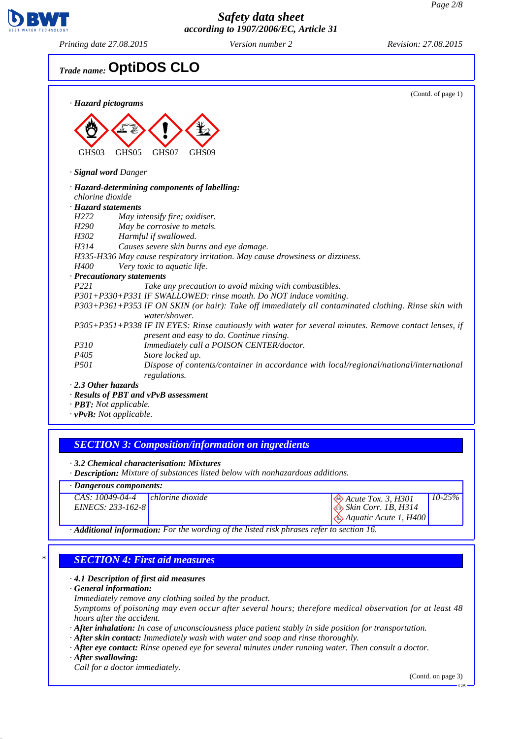

*Printing date 27.08.2015 Version number 2 Revision: 27.08.2015*

# *Trade name:* **OptiDOS CLO**

| · Hazard pictograms                 | (Contd. of page 1)                                                                                                                                 |
|-------------------------------------|----------------------------------------------------------------------------------------------------------------------------------------------------|
| GHS03                               | GHS05<br>GHS07<br>GHS09                                                                                                                            |
| <b>Signal word Danger</b>           |                                                                                                                                                    |
|                                     | · Hazard-determining components of labelling:                                                                                                      |
| chlorine dioxide                    |                                                                                                                                                    |
| · Hazard statements                 |                                                                                                                                                    |
| H <sub>272</sub>                    | May intensify fire; oxidiser.                                                                                                                      |
| H <sub>290</sub>                    | May be corrosive to metals.                                                                                                                        |
| H302                                | Harmful if swallowed.                                                                                                                              |
| H314                                | Causes severe skin burns and eye damage.                                                                                                           |
|                                     | H335-H336 May cause respiratory irritation. May cause drowsiness or dizziness.                                                                     |
| H400                                | Very toxic to aquatic life.                                                                                                                        |
|                                     | · Precautionary statements                                                                                                                         |
| P221                                | Take any precaution to avoid mixing with combustibles.                                                                                             |
|                                     | P301+P330+P331 IF SWALLOWED: rinse mouth. Do NOT induce vomiting.                                                                                  |
|                                     | P303+P361+P353 IF ON SKIN (or hair): Take off immediately all contaminated clothing. Rinse skin with<br>water/shower.                              |
|                                     | P305+P351+P338 IF IN EYES: Rinse cautiously with water for several minutes. Remove contact lenses, if<br>present and easy to do. Continue rinsing. |
| P310                                | Immediately call a POISON CENTER/doctor.                                                                                                           |
| P405                                | Store locked up.                                                                                                                                   |
| <i>P501</i>                         | Dispose of contents/container in accordance with local/regional/national/international<br>regulations.                                             |
| $\cdot$ 2.3 Other hazards           |                                                                                                                                                    |
|                                     | · Results of PBT and vPvB assessment                                                                                                               |
| $\cdot$ <b>PBT:</b> Not applicable. |                                                                                                                                                    |
| $\cdot$ vPvB: Not applicable.       |                                                                                                                                                    |

## *SECTION 3: Composition/information on ingredients*

*· 3.2 Chemical characterisation: Mixtures*

*· Description: Mixture of substances listed below with nonhazardous additions.*

## *· Dangerous components:*

| $CAS: 10049-04-4$ chlorine dioxide |                                                                                              | $\otimes$ Acute Tox. 3, H301                     | $10-25\%$ |
|------------------------------------|----------------------------------------------------------------------------------------------|--------------------------------------------------|-----------|
| $EINECS: 233-162-8$                |                                                                                              | $\otimes$ Skin Corr. 1B, H314                    |           |
|                                    |                                                                                              | $\langle \diamond \rangle$ Aquatic Acute 1, H400 |           |
|                                    | A Distance Description of the United States of the listed violent program ushed a good on 16 |                                                  |           |

*· Additional information: For the wording of the listed risk phrases refer to section 16.*

## *\* SECTION 4: First aid measures*

#### *· 4.1 Description of first aid measures*

*· General information:*

*Immediately remove any clothing soiled by the product.*

*Symptoms of poisoning may even occur after several hours; therefore medical observation for at least 48 hours after the accident.*

*· After inhalation: In case of unconsciousness place patient stably in side position for transportation.*

*· After skin contact: Immediately wash with water and soap and rinse thoroughly.*

*· After eye contact: Rinse opened eye for several minutes under running water. Then consult a doctor.*

*· After swallowing:*

*Call for a doctor immediately.*

(Contd. on page 3)

GB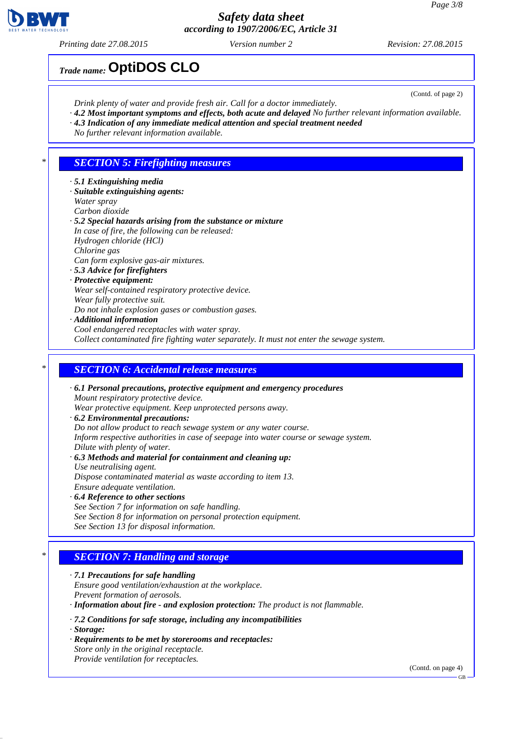*Printing date 27.08.2015 Version number 2 Revision: 27.08.2015*

*Trade name:* **OptiDOS CLO**

(Contd. of page 2)

- *Drink plenty of water and provide fresh air. Call for a doctor immediately.*
- *· 4.2 Most important symptoms and effects, both acute and delayed No further relevant information available. · 4.3 Indication of any immediate medical attention and special treatment needed*
- *No further relevant information available.*
- 

#### *\* SECTION 5: Firefighting measures*

- *· 5.1 Extinguishing media*
- *· Suitable extinguishing agents: Water spray*
- *Carbon dioxide*
- *· 5.2 Special hazards arising from the substance or mixture In case of fire, the following can be released: Hydrogen chloride (HCl) Chlorine gas Can form explosive gas-air mixtures.*
- *· 5.3 Advice for firefighters · Protective equipment: Wear self-contained respiratory protective device. Wear fully protective suit. Do not inhale explosion gases or combustion gases.*
- *· Additional information Cool endangered receptacles with water spray.*

*Collect contaminated fire fighting water separately. It must not enter the sewage system.*

#### *\* SECTION 6: Accidental release measures*

*· 6.1 Personal precautions, protective equipment and emergency procedures Mount respiratory protective device. Wear protective equipment. Keep unprotected persons away. · 6.2 Environmental precautions: Do not allow product to reach sewage system or any water course. Inform respective authorities in case of seepage into water course or sewage system. Dilute with plenty of water. · 6.3 Methods and material for containment and cleaning up: Use neutralising agent.*

*Dispose contaminated material as waste according to item 13. Ensure adequate ventilation. · 6.4 Reference to other sections*

*See Section 7 for information on safe handling. See Section 8 for information on personal protection equipment. See Section 13 for disposal information.*

## *\* SECTION 7: Handling and storage*

- *· 7.1 Precautions for safe handling Ensure good ventilation/exhaustion at the workplace. Prevent formation of aerosols. · Information about fire - and explosion protection: The product is not flammable. · 7.2 Conditions for safe storage, including any incompatibilities · Storage: · Requirements to be met by storerooms and receptacles:*
- *Store only in the original receptacle. Provide ventilation for receptacles.*

(Contd. on page 4)

GB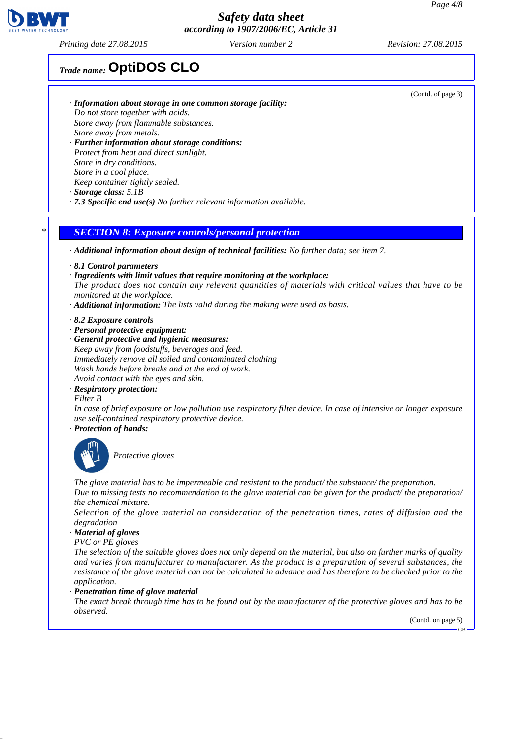*Printing date 27.08.2015 Version number 2 Revision: 27.08.2015*

## *Trade name:* **OptiDOS CLO**

- *· Information about storage in one common storage facility: Do not store together with acids. Store away from flammable substances. Store away from metals. · Further information about storage conditions:*
- *Protect from heat and direct sunlight. Store in dry conditions. Store in a cool place. Keep container tightly sealed.*
- *· Storage class: 5.1B*
- *· 7.3 Specific end use(s) No further relevant information available.*

#### *\* SECTION 8: Exposure controls/personal protection*

*· Additional information about design of technical facilities: No further data; see item 7.*

- *· 8.1 Control parameters*
- *· Ingredients with limit values that require monitoring at the workplace:*

*The product does not contain any relevant quantities of materials with critical values that have to be monitored at the workplace.*

- *· Additional information: The lists valid during the making were used as basis.*
- *· 8.2 Exposure controls*
- *· Personal protective equipment:*
- *· General protective and hygienic measures: Keep away from foodstuffs, beverages and feed. Immediately remove all soiled and contaminated clothing Wash hands before breaks and at the end of work. Avoid contact with the eyes and skin.*
- *· Respiratory protection:*

*Filter B*

*In case of brief exposure or low pollution use respiratory filter device. In case of intensive or longer exposure use self-contained respiratory protective device.*

*· Protection of hands:*



*Protective gloves*

*The glove material has to be impermeable and resistant to the product/ the substance/ the preparation. Due to missing tests no recommendation to the glove material can be given for the product/ the preparation/ the chemical mixture.*

*Selection of the glove material on consideration of the penetration times, rates of diffusion and the degradation*

#### *· Material of gloves*

*PVC or PE gloves*

*The selection of the suitable gloves does not only depend on the material, but also on further marks of quality and varies from manufacturer to manufacturer. As the product is a preparation of several substances, the resistance of the glove material can not be calculated in advance and has therefore to be checked prior to the application.*

*· Penetration time of glove material*

*The exact break through time has to be found out by the manufacturer of the protective gloves and has to be observed.*

(Contd. on page 5)

GB



(Contd. of page 3)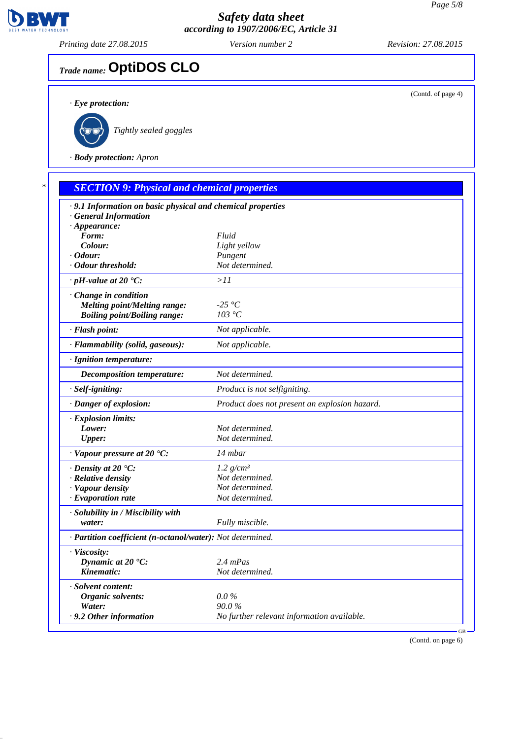

*Printing date 27.08.2015 Version number 2 Revision: 27.08.2015*

(Contd. of page 4)

# *Trade name:* **OptiDOS CLO**

*· Eye protection:*



*Tightly sealed goggles*

*· Body protection: Apron*

| · 9.1 Information on basic physical and chemical properties |                                               |
|-------------------------------------------------------------|-----------------------------------------------|
| <b>General Information</b>                                  |                                               |
| $\cdot$ Appearance:                                         | Fluid                                         |
| Form:<br>Colour:                                            | Light yellow                                  |
| · Odour:                                                    | Pungent                                       |
| · Odour threshold:                                          | Not determined.                               |
| $\cdot$ pH-value at 20 $\textdegree$ C:                     | >11                                           |
| Change in condition                                         |                                               |
| <b>Melting point/Melting range:</b>                         | -25 °C                                        |
| <b>Boiling point/Boiling range:</b>                         | 103 °C                                        |
| · Flash point:                                              | Not applicable.                               |
| · Flammability (solid, gaseous):                            | Not applicable.                               |
| · Ignition temperature:                                     |                                               |
| <b>Decomposition temperature:</b>                           | Not determined.                               |
| · Self-igniting:                                            | Product is not selfigniting.                  |
| · Danger of explosion:                                      | Product does not present an explosion hazard. |
| · Explosion limits:                                         |                                               |
| Lower:                                                      | Not determined.                               |
| <b>Upper:</b>                                               | Not determined.                               |
| $\cdot$ Vapour pressure at 20 $\cdot$ C:                    | 14 mbar                                       |
|                                                             |                                               |
| $\cdot$ Density at 20 $\cdot$ C:                            | 1.2 $g/cm^3$                                  |
| · Relative density                                          | Not determined.<br>Not determined.            |
| · Vapour density<br>$\cdot$ Evaporation rate                | Not determined.                               |
|                                                             |                                               |
| · Solubility in / Miscibility with                          |                                               |
| water:                                                      | Fully miscible.                               |
| · Partition coefficient (n-octanol/water): Not determined.  |                                               |
| · Viscosity:                                                |                                               |
| Dynamic at $20 °C$ :                                        | $2.4$ mPas                                    |
| Kinematic:                                                  | Not determined.                               |
| · Solvent content:                                          |                                               |
| Organic solvents:                                           | $0.0\%$                                       |
| Water:                                                      | 90.0%                                         |
| .9.2 Other information                                      | No further relevant information available.    |

(Contd. on page 6)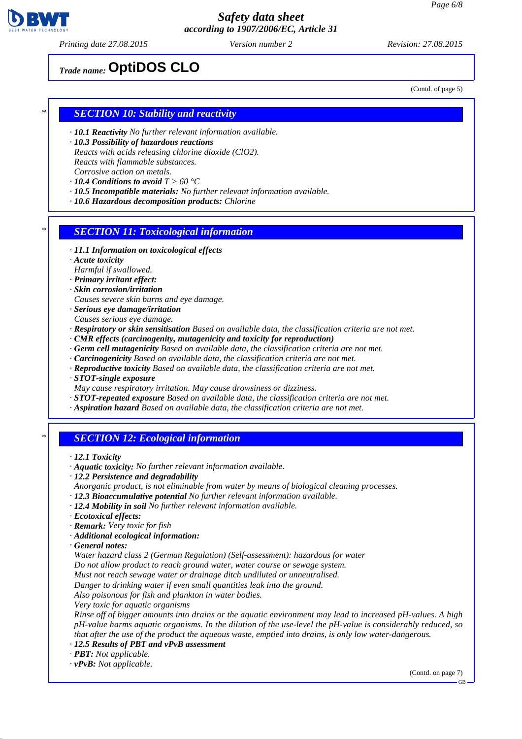

*Printing date 27.08.2015 Version number 2 Revision: 27.08.2015*

*Trade name:* **OptiDOS CLO**

(Contd. of page 5)

#### *\* SECTION 10: Stability and reactivity*

- *· 10.1 Reactivity No further relevant information available.*
- *· 10.3 Possibility of hazardous reactions Reacts with acids releasing chlorine dioxide (ClO2). Reacts with flammable substances. Corrosive action on metals.*
- *· 10.4 Conditions to avoid T > 60 °C*
- *· 10.5 Incompatible materials: No further relevant information available.*
- *· 10.6 Hazardous decomposition products: Chlorine*

#### *\* SECTION 11: Toxicological information*

- *· 11.1 Information on toxicological effects*
- *· Acute toxicity*
- *Harmful if swallowed.*
- *· Primary irritant effect:*
- *· Skin corrosion/irritation*
- *Causes severe skin burns and eye damage.*
- *· Serious eye damage/irritation Causes serious eye damage.*
- *· Respiratory or skin sensitisation Based on available data, the classification criteria are not met.*
- *· CMR effects (carcinogenity, mutagenicity and toxicity for reproduction)*
- *· Germ cell mutagenicity Based on available data, the classification criteria are not met.*
- *· Carcinogenicity Based on available data, the classification criteria are not met.*
- *· Reproductive toxicity Based on available data, the classification criteria are not met.*
- *· STOT-single exposure*
- *May cause respiratory irritation. May cause drowsiness or dizziness.*
- *· STOT-repeated exposure Based on available data, the classification criteria are not met.*
- *· Aspiration hazard Based on available data, the classification criteria are not met.*

#### *\* SECTION 12: Ecological information*

- *· 12.1 Toxicity*
- *· Aquatic toxicity: No further relevant information available.*
- *· 12.2 Persistence and degradability*
- *Anorganic product, is not eliminable from water by means of biological cleaning processes.*
- *· 12.3 Bioaccumulative potential No further relevant information available.*
- *· 12.4 Mobility in soil No further relevant information available.*
- *· Ecotoxical effects:*
- *· Remark: Very toxic for fish*
- *· Additional ecological information:*
- *· General notes:*
- *Water hazard class 2 (German Regulation) (Self-assessment): hazardous for water*
- *Do not allow product to reach ground water, water course or sewage system.*
- *Must not reach sewage water or drainage ditch undiluted or unneutralised.*
- *Danger to drinking water if even small quantities leak into the ground.*
- *Also poisonous for fish and plankton in water bodies.*
- *Very toxic for aquatic organisms*

*Rinse off of bigger amounts into drains or the aquatic environment may lead to increased pH-values. A high pH-value harms aquatic organisms. In the dilution of the use-level the pH-value is considerably reduced, so that after the use of the product the aqueous waste, emptied into drains, is only low water-dangerous.*

- *· 12.5 Results of PBT and vPvB assessment*
- *· PBT: Not applicable.*
- *· vPvB: Not applicable.*

(Contd. on page 7)

GB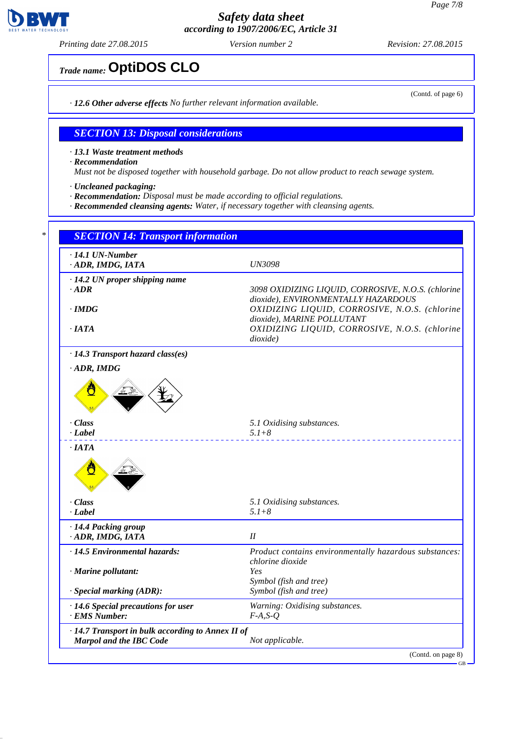

*Printing date 27.08.2015 Version number 2 Revision: 27.08.2015*

*Trade name:* **OptiDOS CLO**

*· 12.6 Other adverse effects No further relevant information available.*

#### *SECTION 13: Disposal considerations*

*· 13.1 Waste treatment methods*

*· Recommendation*

*Must not be disposed together with household garbage. Do not allow product to reach sewage system.*

*· Uncleaned packaging:*

- *· Recommendation: Disposal must be made according to official regulations.*
- *· Recommended cleansing agents: Water, if necessary together with cleansing agents.*

| · ADR, IMDG, IATA                                    | <b>UN3098</b>                                                                                                      |  |
|------------------------------------------------------|--------------------------------------------------------------------------------------------------------------------|--|
| $\cdot$ 14.2 UN proper shipping name                 |                                                                                                                    |  |
| $\cdot$ ADR                                          | 3098 OXIDIZING LIQUID, CORROSIVE, N.O.S. (chlorine                                                                 |  |
| $\cdot$ IMDG                                         | dioxide), ENVIRONMENTALLY HAZARDOUS<br>OXIDIZING LIQUID, CORROSIVE, N.O.S. (chlorine<br>dioxide), MARINE POLLUTANT |  |
| $\cdot$ IATA                                         | OXIDIZING LIQUID, CORROSIVE, N.O.S. (chlorine<br>dioxide)                                                          |  |
| · 14.3 Transport hazard class(es)                    |                                                                                                                    |  |
| $\cdot$ ADR, IMDG                                    |                                                                                                                    |  |
| · Class                                              | 5.1 Oxidising substances.                                                                                          |  |
| · Label                                              | $5.1 + 8$                                                                                                          |  |
|                                                      |                                                                                                                    |  |
| $\cdot$ IATA<br>Ő                                    |                                                                                                                    |  |
|                                                      | 5.1 Oxidising substances.                                                                                          |  |
| · Class<br>· Label                                   | $5.1 + 8$                                                                                                          |  |
|                                                      |                                                                                                                    |  |
| · 14.4 Packing group<br>ADR, IMDG, IATA              | II                                                                                                                 |  |
| · 14.5 Environmental hazards:                        | chlorine dioxide                                                                                                   |  |
| · Marine pollutant:                                  | Yes<br>Symbol (fish and tree)                                                                                      |  |
| $\cdot$ Special marking (ADR):                       | Symbol (fish and tree)                                                                                             |  |
| · 14.6 Special precautions for user<br>· EMS Number: | Product contains environmentally hazardous substances:<br>Warning: Oxidising substances.<br>$F-A, S-Q$             |  |

(Contd. of page 6)